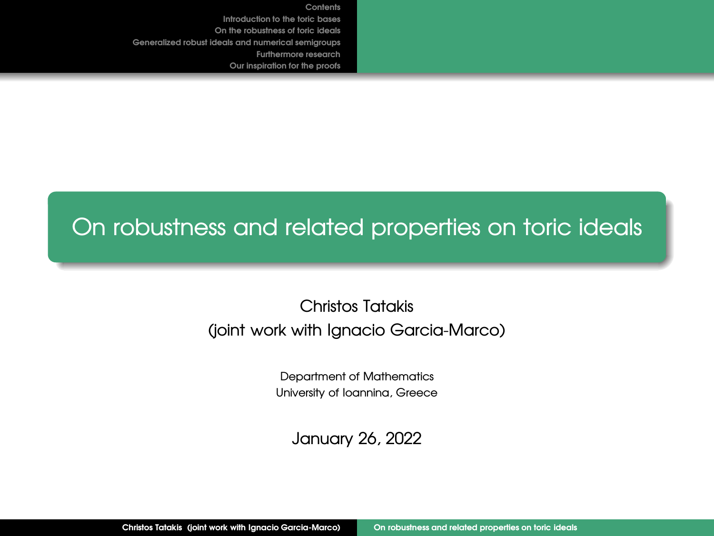# <span id="page-0-0"></span>On robustness and related properties on toric ideals

# Christos Tatakis (joint work with Ignacio Garcia-Marco)

Department of Mathematics University of Ioannina, Greece

January 26, 2022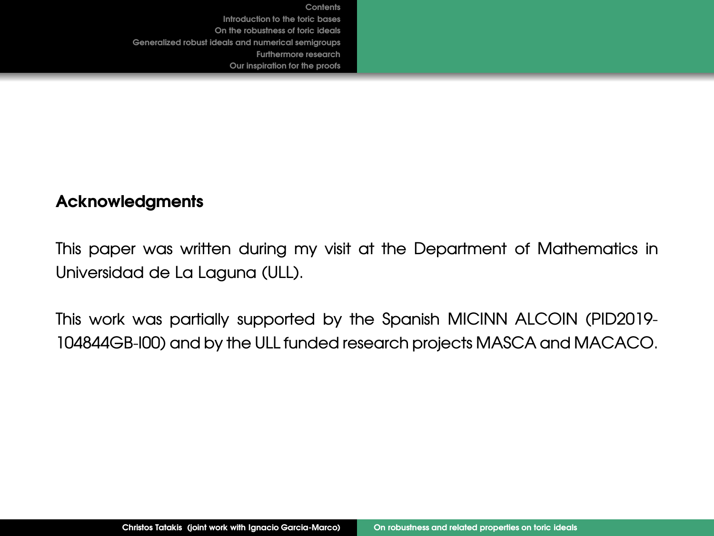### **Acknowledgments**

This paper was written during my visit at the Department of Mathematics in Universidad de La Laguna (ULL).

This work was partially supported by the Spanish MICINN ALCOIN (PID2019- 104844GB-I00) and by the ULL funded research projects MASCA and MACACO.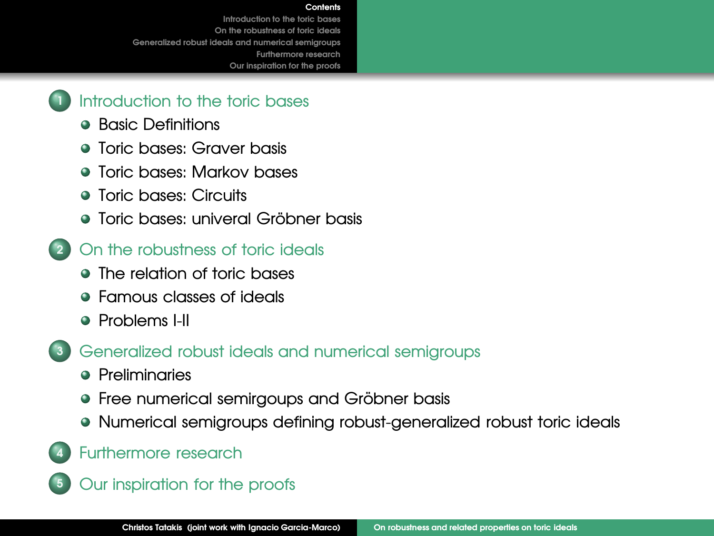#### **[Contents](#page-2-0)**

<span id="page-2-0"></span>**[Introduction to the toric bases](#page-3-0) [On the robustness of toric ideals](#page-15-0) [Generalized robust ideals and numerical semigroups](#page-28-0) [Furthermore research](#page-35-0) Our inspiration for the proofs**



- **[Basic Definitions](#page-3-0)**
- **[Toric bases: Graver basis](#page-9-0)**
- [Toric bases: Markov bases](#page-11-0)
- **a** [Toric bases: Circuits](#page-13-0)
- Toric bases: univeral Gröbner basis
- **<sup>2</sup>** [On the robustness of toric ideals](#page-15-0)
	- [The relation of toric bases](#page-15-0)
	- **•** [Famous classes of ideals](#page-16-0)
	- **A** [Problems I-II](#page-17-0)
- **<sup>3</sup>** [Generalized robust ideals and numerical semigroups](#page-28-0)
	- **•** [Preliminaries](#page-28-0)
	- Free numerical semirgoups and Gröbner basis
	- [Numerical semigroups defining robust-generalized robust](#page-33-0) toric ideals
- **<sup>4</sup>** [Furthermore research](#page-35-0)
- **<sup>5</sup>** Our inspiration for the proofs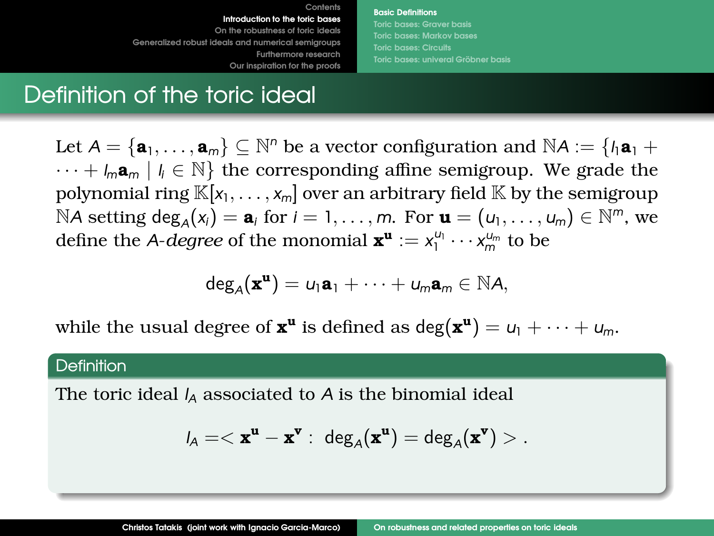**[Basic Definitions](#page-3-0) [Toric bases: Graver basis](#page-9-0) [Toric bases: Markov bases](#page-11-0) Toric bases: univeral Gröbner basis** 

# <span id="page-3-0"></span>Definition of the toric ideal

Let  $A = {\mathbf{a}_1, ..., \mathbf{a}_m} \subseteq \mathbb{N}^n$  be a vector configuration and  $\mathbb{N}A := \{h\mathbf{a}_1 + \mathbf{a}_2 + \mathbf{a}_3\}$ · · · + *lm***a***<sup>m</sup>* | *l <sup>i</sup>* ∈ N} the corresponding affine semigroup. We grade the polynomial ring  $\mathbb{K}[x_1,\ldots,x_m]$  over an arbitrary field  $\mathbb{K}$  by the semigroup  $NA$  setting  $\deg_A(x_i) = \mathbf{a}_i$  for  $i = 1, \ldots, m$ . For  $\mathbf{u} = (u_1, \ldots, u_m) \in \mathbb{N}^m$ , we define the *A-degree* of the monomial  $\mathbf{x}^{\mathbf{u}} := x_1^{\mu_1} \cdots x_m^{\mu_m}$  to be

$$
\text{deg}_{A}(\bm{x}^{\bm{u}})=\text{u}_1\bm{a}_1+\cdots+\text{u}_m\bm{a}_m\in\mathbb{N}\text{A},
$$

while the usual degree of  $\mathbf{x}^{\mathbf{u}}$  is defined as  $\deg(\mathbf{x}^{\mathbf{u}}) = u_1 + \cdots + u_m$ .

#### **Definition**

The toric ideal *I<sup>A</sup>* associated to *A* is the binomial ideal

$$
l_A = <\mathbf{x}^{\mathbf{u}} - \mathbf{x}^{\mathbf{v}}: \ \deg_A(\mathbf{x}^{\mathbf{u}}) = \deg_A(\mathbf{x}^{\mathbf{v}}) > .
$$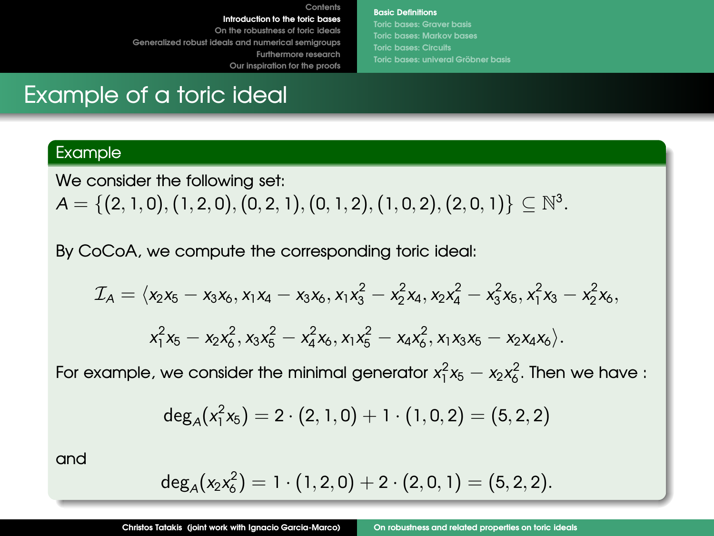**[Basic Definitions](#page-3-0) [Toric bases: Graver basis](#page-9-0) [Toric bases: Markov bases](#page-11-0) Toric bases: univeral Gröbner basis** 

# Example of a toric ideal

### Example

We consider the following set:

 $\mathcal{A} = \{ (2,1,0), (1,2,0), (0,2,1), (0,1,2), (1,0,2), (2,0,1) \} \subseteq \mathbb{N}^3.$ 

**[Contents](#page-2-0)**

By CoCoA, we compute the corresponding toric ideal:

$$
\mathcal{I}_A = \langle x_2x_5 - x_3x_6, x_1x_4 - x_3x_6, x_1x_3^2 - x_2^2x_4, x_2x_4^2 - x_3^2x_5, x_1^2x_3 - x_2^2x_6, x_1^2x_5 - x_2x_6^2, x_3x_5^2 - x_4^2x_6, x_1x_5^2 - x_4x_6^2, x_1x_3x_5 - x_2x_4x_6 \rangle.
$$

For example, we consider the minimal generator  $x_1^2x_5 - x_2x_6^2$ . Then we have :

$$
\mathsf{deg}_{\mathsf{A}}(x_1^2x_5) = 2 \cdot (2, 1, 0) + 1 \cdot (1, 0, 2) = (5, 2, 2)
$$

and

$$
\mathsf{deg}_{A}(x_2x_6^2) = 1 \cdot (1,2,0) + 2 \cdot (2,0,1) = (5,2,2).
$$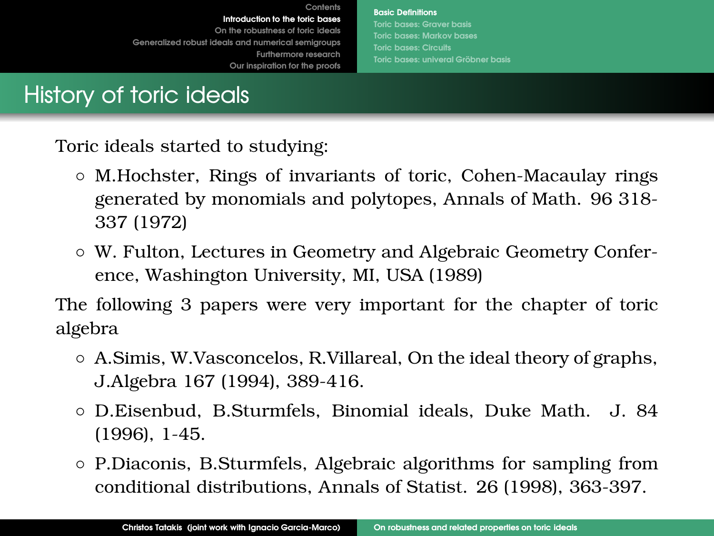**[Basic Definitions](#page-3-0) [Toric bases: Markov bases](#page-11-0) Toric bases: univeral Gröbner basis** 

History of toric ideals

Toric ideals started to studying:

- M.Hochster, Rings of invariants of toric, Cohen-Macaulay rings generated by monomials and polytopes, Annals of Math. 96 318- 337 (1972)
- W. Fulton, Lectures in Geometry and Algebraic Geometry Conference, Washington University, MI, USA (1989)

The following 3 papers were very important for the chapter of toric algebra

- A.Simis, W.Vasconcelos, R.Villareal, On the ideal theory of graphs, J.Algebra 167 (1994), 389-416.
- D.Eisenbud, B.Sturmfels, Binomial ideals, Duke Math. J. 84 (1996), 1-45.
- P.Diaconis, B.Sturmfels, Algebraic algorithms for sampling from conditional distributions, Annals of Statist. 26 (1998), 363-397.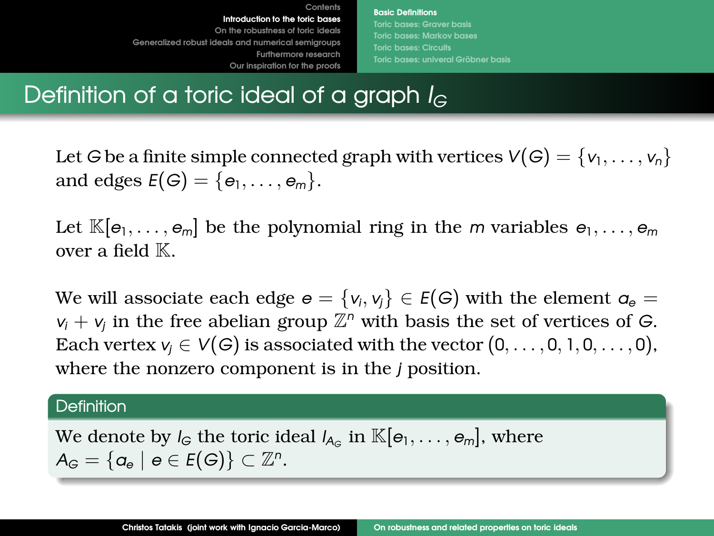**[Basic Definitions](#page-3-0) [Toric bases: Graver basis](#page-9-0) [Toric bases: Markov bases](#page-11-0) Toric bases: univeral Gröbner basis** 

# Definition of a toric ideal of a graph *I<sup>G</sup>*

Let *G* be a finite simple connected graph with vertices  $V(G) = \{v_1, \ldots, v_n\}$ and edges  $E(G) = \{e_1, \ldots, e_m\}.$ 

Let  $\mathbb{K}[e_1, \ldots, e_m]$  be the polynomial ring in the *m* variables  $e_1, \ldots, e_m$ over a field  $K$ .

We will associate each edge  $e = \{v_i,v_j\} \in E(G)$  with the element  $a_e =$  $v_i + v_j$  in the free abelian group  $\mathbb{Z}^n$  with basis the set of vertices of *G*. Each vertex  $v_i \in V(G)$  is associated with the vector  $(0, \ldots, 0, 1, 0, \ldots, 0)$ , where the nonzero component is in the *j* position.

### **Definition**

We denote by *I<sub>G</sub>* the toric ideal  $I_{A_G}$  in  $\mathbb{K}[e_1,\ldots,e_m]$ , where  $A_G = \{a_e \mid e \in E(G)\} \subset \mathbb{Z}^n$ .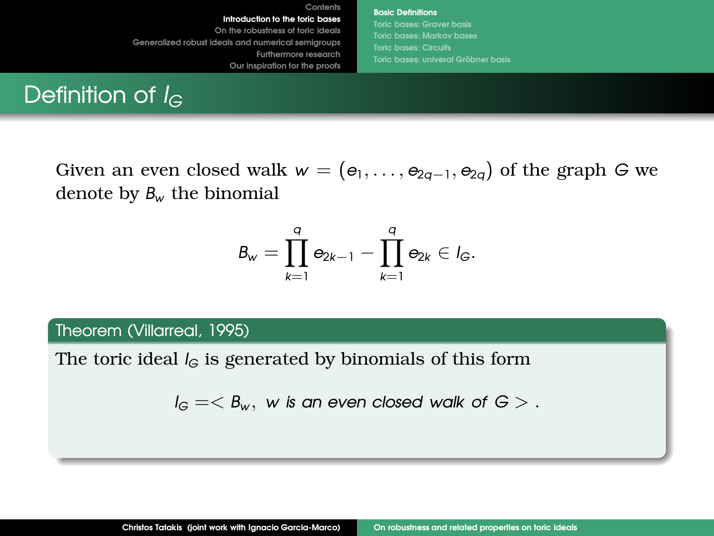**[Basic Definitions](#page-3-0) [Toric bases: Graver basis](#page-9-0) [Toric bases: Markov bases](#page-11-0) Toric bases: univeral Gröbner basis** 

# Definition of *I<sub>G</sub>*

Given an even closed walk  $w = (e_1, \ldots, e_{2q-1}, e_{2q})$  of the graph *G* we denote by *B<sup>w</sup>* the binomial

$$
B_w=\prod_{k=1}^q\mathbf{e}_{2k-1}-\prod_{k=1}^q\mathbf{e}_{2k}\in l_G.
$$

### Theorem (Villarreal, 1995)

The toric ideal  $I_G$  is generated by binomials of this form

 $I_G = \langle B_w, w \rangle$  *is an even closed walk of*  $G > R$ *.*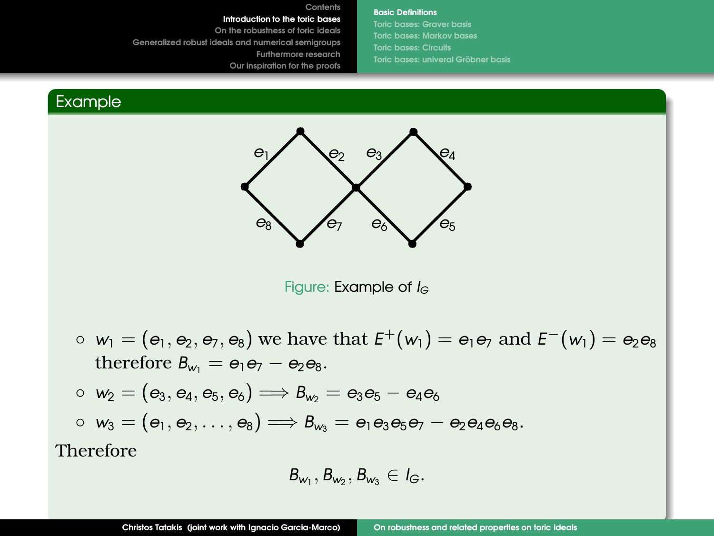#### **[Basic Definitions](#page-3-0)**

**[Toric bases: Graver basis](#page-9-0) [Toric bases: Markov bases](#page-11-0) Toric bases: univeral Gröbner basis** 

### Example



**[Contents](#page-2-0)**

Figure: Example of *I<sub>G</sub>* 

- $w_1 = (e_1, e_2, e_7, e_8)$  we have that  $E^+(w_1) = e_1 e_7$  and  $E^-(w_1) = e_2 e_8$ therefore  $B_w = e_1e_7 - e_2e_8$ .
- $w_2 = (e_3, e_4, e_5, e_6) \implies B_{w_2} = e_3 e_5 e_4 e_6$  $\circ$  *w*<sub>3</sub> = (*e*<sub>1</sub>, *e*<sub>2</sub>, . . . , *e*<sub>8</sub>)  $\Longrightarrow$  *B*<sub>*w*3</sub> = *e*<sub>1</sub>*e*<sub>3</sub>*e*<sub>5</sub>*e*<sub>7</sub> − *e*<sub>2</sub>*e*<sub>4</sub>*e*<sub>6</sub>*e*<sub>8</sub>.

Therefore

$$
B_{w_1}, B_{w_2}, B_{w_3} \in I_G.
$$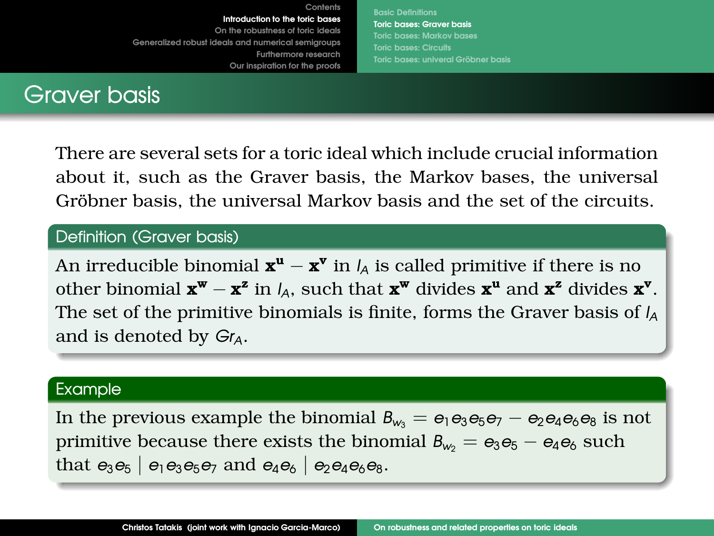**[Basic Definitions](#page-3-0) [Toric bases: Graver basis](#page-9-0) [Toric bases: Markov bases](#page-11-0) [Toric bases: univeral Grobner basis](#page-14-0) ¨**

<span id="page-9-0"></span>

There are several sets for a toric ideal which include crucial information about it, such as the Graver basis, the Markov bases, the universal Gröbner basis, the universal Markov basis and the set of the circuits.

### Definition (Graver basis)

An irreducible binomial  $\mathbf{x}^{\mathbf{u}} - \mathbf{x}^{\mathbf{v}}$  in *I*<sub>A</sub> is called primitive if there is no other binomial  $\mathbf{x}^w - \mathbf{x}^z$  in  $I_A$ , such that  $\mathbf{x}^w$  divides  $\mathbf{x}^u$  and  $\mathbf{x}^z$  divides  $\mathbf{x}^v$ . The set of the primitive binomials is finite, forms the Graver basis of *I<sup>A</sup>* and is denoted by *GrA*.

#### Example

In the previous example the binomial  $B_{w_3} = e_1 e_3 e_5 e_7 - e_2 e_4 e_6 e_8$  is not primitive because there exists the binomial  $B_{w_2} = e_3 e_5 - e_4 e_6$  such that  $e_3e_5$  |  $e_1e_3e_5e_7$  and  $e_4e_6$  |  $e_2e_4e_6e_8$ .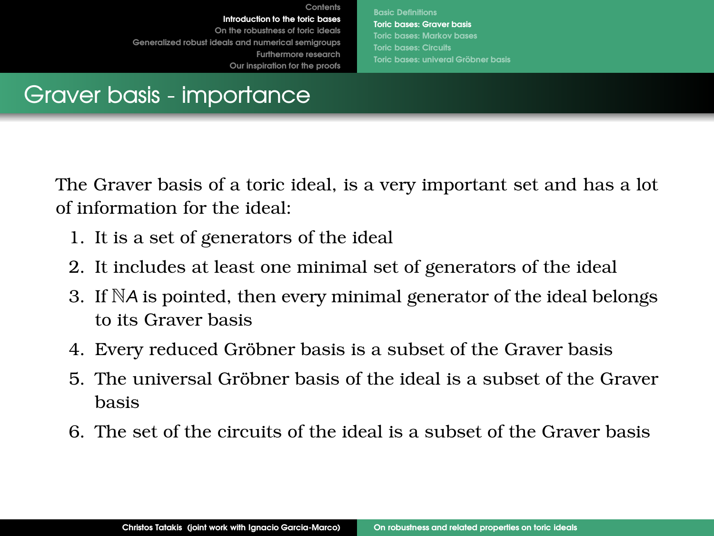**[Basic Definitions](#page-3-0) [Toric bases: Graver basis](#page-9-0) [Toric bases: Markov bases](#page-11-0) [Toric bases: univeral Grobner basis](#page-14-0) ¨**

# Graver basis - importance

The Graver basis of a toric ideal, is a very important set and has a lot of information for the ideal:

- 1. It is a set of generators of the ideal
- 2. It includes at least one minimal set of generators of the ideal
- 3. If N*A* is pointed, then every minimal generator of the ideal belongs to its Graver basis
- 4. Every reduced Gröbner basis is a subset of the Graver basis
- 5. The universal Gröbner basis of the ideal is a subset of the Graver basis
- 6. The set of the circuits of the ideal is a subset of the Graver basis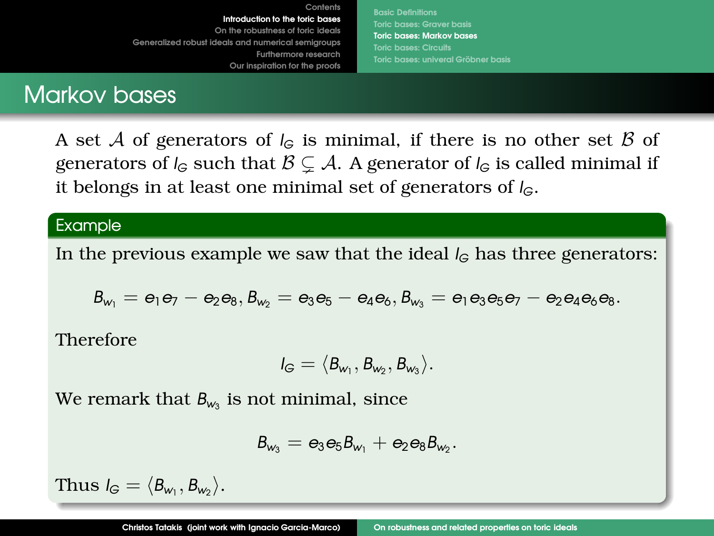**[Basic Definitions](#page-3-0) [Toric bases: Graver basis](#page-9-0) [Toric bases: Markov bases](#page-11-0) [Toric bases: univeral Grobner basis](#page-14-0) ¨**

# <span id="page-11-0"></span>Markov bases

A set A of generators of  $I_G$  is minimal, if there is no other set B of generators of  $I_G$  such that  $\mathcal{B} \subset \mathcal{A}$ . A generator of  $I_G$  is called minimal if it belongs in at least one minimal set of generators of *IG*.

### Example

In the previous example we saw that the ideal  $I_G$  has three generators:

$$
B_{w_1}=e_1e_7-e_2e_8, B_{w_2}=e_3e_5-e_4e_6, B_{w_3}=e_1e_3e_5e_7-e_2e_4e_6e_8.
$$

Therefore

$$
I_G=\langle B_{w_1},B_{w_2},B_{w_3}\rangle.
$$

We remark that  $B_{w_3}$  is not minimal, since

$$
B_{w_3}=e_3e_5B_{w_1}+e_2e_8B_{w_2}.
$$

 $\text{Thus } I_G = \langle B_{\mathsf{w}_1}, B_{\mathsf{w}_2} \rangle.$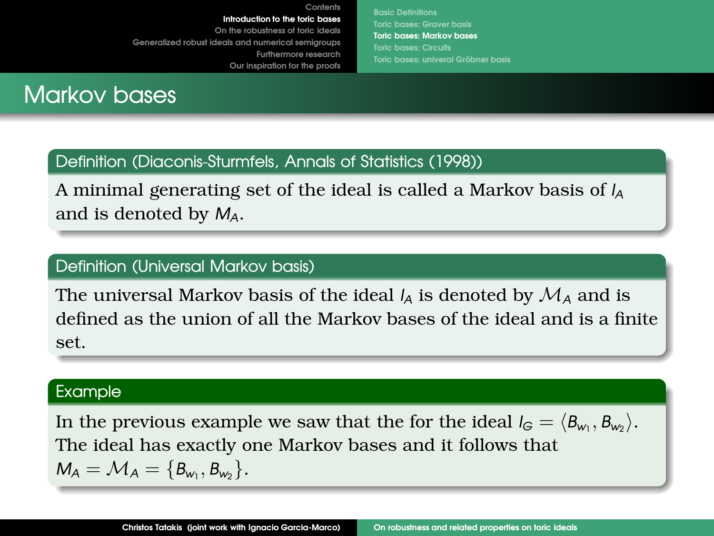**[Basic Definitions](#page-3-0) [Toric bases: Graver basis](#page-9-0) [Toric bases: Markov bases](#page-11-0) [Toric bases: univeral Grobner basis](#page-14-0) ¨**

# **Markov bases**

### Definition (Diaconis-Sturmfels, Annals of Statistics (1998))

A minimal generating set of the ideal is called a Markov basis of *I<sup>A</sup>* and is denoted by *MA*.

**[Contents](#page-2-0)**

### Definition (Universal Markov basis)

The universal Markov basis of the ideal  $I_A$  is denoted by  $\mathcal{M}_A$  and is defined as the union of all the Markov bases of the ideal and is a finite set.

### Example

In the previous example we saw that the for the ideal  $I_G = \langle B_{w_1}, B_{w_2} \rangle$ . The ideal has exactly one Markov bases and it follows that  $M_A = M_A = \{B_{w_1}, B_{w_2}\}.$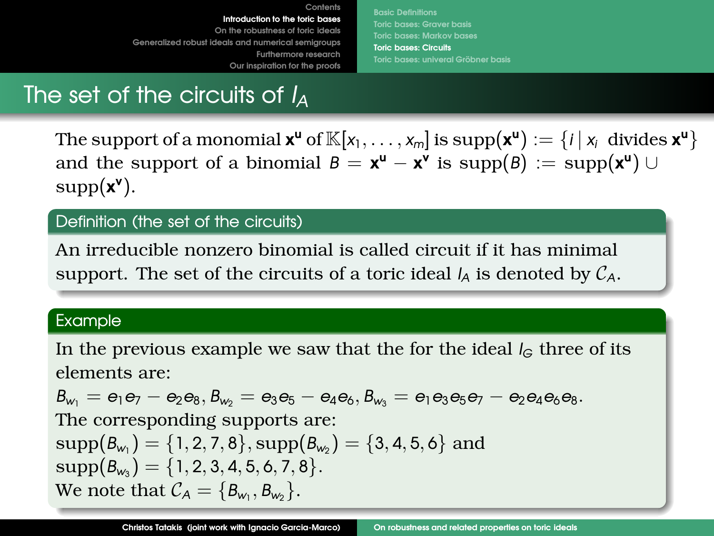**[Basic Definitions](#page-3-0) [Toric bases: Graver basis](#page-9-0) [Toric bases: Markov bases](#page-11-0) [Toric bases: Circuits](#page-13-0) Toric bases: univeral Gröbner basis** 

# <span id="page-13-0"></span>The set of the circuits of *I<sup>A</sup>*

The support of a monomial  $\mathbf{x}^{\mathsf{u}}$  of  $\mathbb{K}[x_1,\ldots,x_m]$  is  $\text{supp}(\mathbf{x}^{\mathsf{u}}):=\{i\,|\,x_i\, \text{ divides }\mathbf{x}^{\mathsf{u}}\}$ and the support of a binomial  $B = \mathbf{x}^{\mathsf{u}} - \mathbf{x}^{\mathsf{v}}$  is  $\text{supp}(B) := \text{supp}(\mathbf{x}^{\mathsf{u}}) \cup$ supp(**x v** ).

### Definition (the set of the circuits)

An irreducible nonzero binomial is called circuit if it has minimal support. The set of the circuits of a toric ideal  $I_A$  is denoted by  $C_A$ .

### Example

In the previous example we saw that the for the ideal  $I_G$  three of its elements are:

 $B_{w_1} = e_1 e_7 - e_2 e_8, B_{w_2} = e_3 e_5 - e_4 e_6, B_{w_3} = e_1 e_3 e_5 e_7 - e_2 e_4 e_6 e_8.$ The corresponding supports are:  $\mathrm{supp}(\mathcal{B}_{w_1})=\{1,2,7,8\}, \mathrm{supp}(\mathcal{B}_{w_2})=\{3,4,5,6\} \ \text{and}$  $\text{supp}(\mathcal{B}_{w_3}) = \{1, 2, 3, 4, 5, 6, 7, 8\}.$ We note that  $\mathcal{C}_\mathcal{A} = \{\mathcal{B}_{w_1}, \mathcal{B}_{w_2}\}.$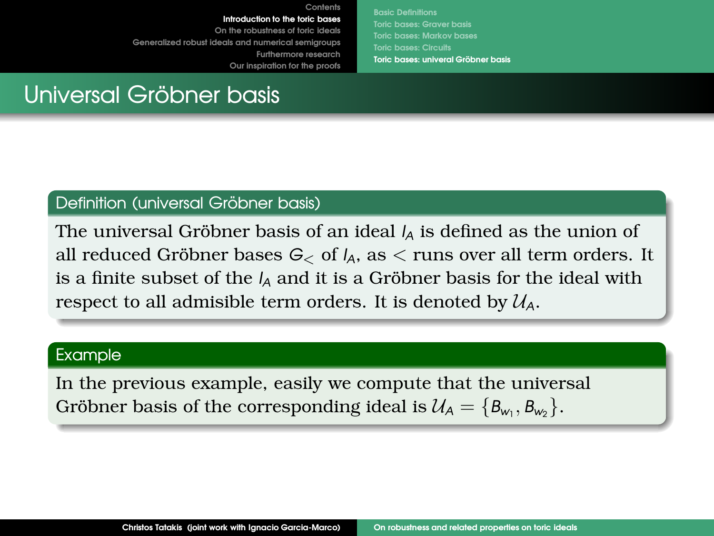**[Basic Definitions](#page-3-0) [Toric bases: Graver basis](#page-9-0) [Toric bases: Markov bases](#page-11-0) Toric bases: univeral Gröbner basis** 

# <span id="page-14-0"></span>Universal Gröbner basis

### Definition (universal Gröbner basis)

The universal Gröbner basis of an ideal  *is defined as the union of* all reduced Gröbner bases  $G_{\leq}$  of  $I_A$ , as  $\leq$  runs over all term orders. It is a finite subset of the  $I_A$  and it is a Gröbner basis for the ideal with respect to all admisible term orders. It is denoted by  $U_A$ .

#### Example

In the previous example, easily we compute that the universal Gröbner basis of the corresponding ideal is  $\mathcal{U}_A = \{B_{w_1}, B_{w_2}\}.$ 

**[Contents](#page-2-0)**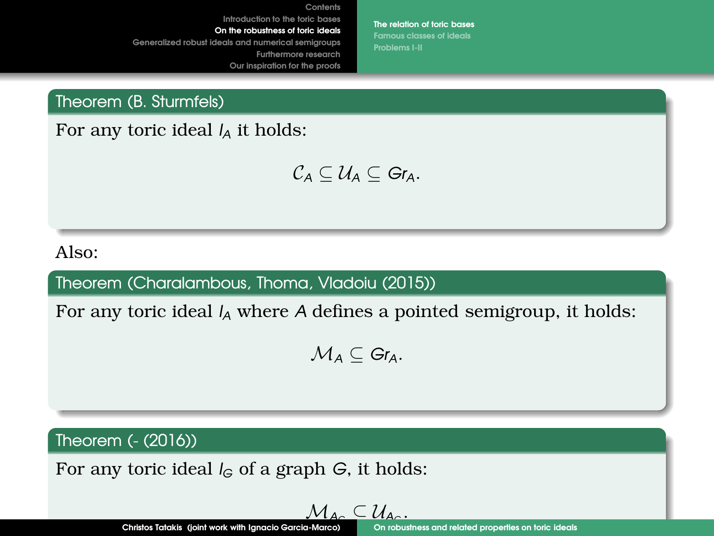**[The relation of toric bases](#page-15-0) [Famous classes of ideals](#page-16-0) [Problems I-II](#page-17-0)**

<span id="page-15-0"></span>Theorem (B. Sturmfels)

For any toric ideal *I<sup>A</sup>* it holds:

 $C_A \subseteq U_A \subseteq$   $Gr_A$ .

Also:

Theorem (Charalambous, Thoma, Vladoiu (2015))

For any toric ideal *I<sup>A</sup>* where *A* defines a pointed semigroup, it holds:

 $M_A \subseteq$   $Gr_A$ .

Theorem (- (2016))

For any toric ideal *I<sup>G</sup>* of a graph *G*, it holds:

$$
\mathcal{M}_{A_{\alpha}}\subseteq\mathcal{U}_{A_{\alpha}}
$$

.

**Christos Tatakis (joint work with Ignacio Garcia-Marco)** [On robustness and related properties on toric ideals](#page-0-0)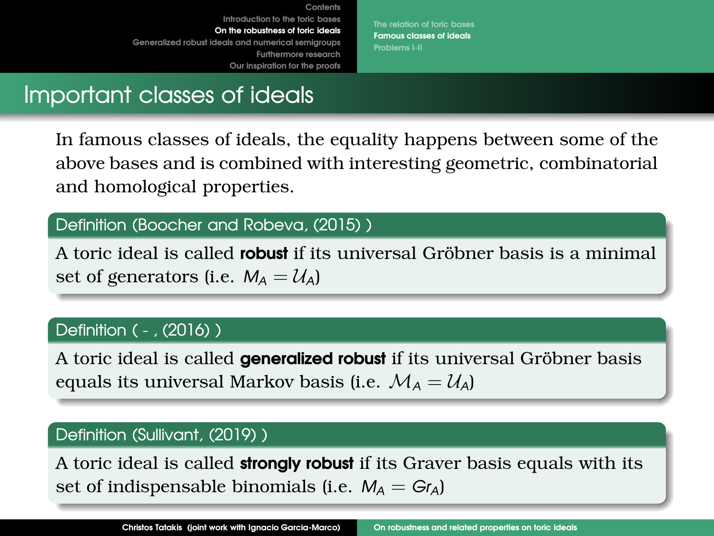**[The relation of toric bases](#page-15-0) [Famous classes of ideals](#page-16-0) [Problems I-II](#page-17-0)**

# <span id="page-16-0"></span>Important classes of ideals

In famous classes of ideals, the equality happens between some of the above bases and is combined with interesting geometric, combinatorial and homological properties.

# Definition (Boocher and Robeva, (2015) )

A toric ideal is called **robust** if its universal Gröbner basis is a minimal set of generators (i.e.  $M_A = U_A$ )

# Definition ( - , (2016) )

A toric ideal is called **generalized robust** if its universal Gröbner basis equals its universal Markov basis (i.e.  $\mathcal{M}_A = \mathcal{U}_A$ )

### Definition (Sullivant, (2019) )

A toric ideal is called **strongly robust** if its Graver basis equals with its set of indispensable binomials (i.e.  $M_A = G r_A$ )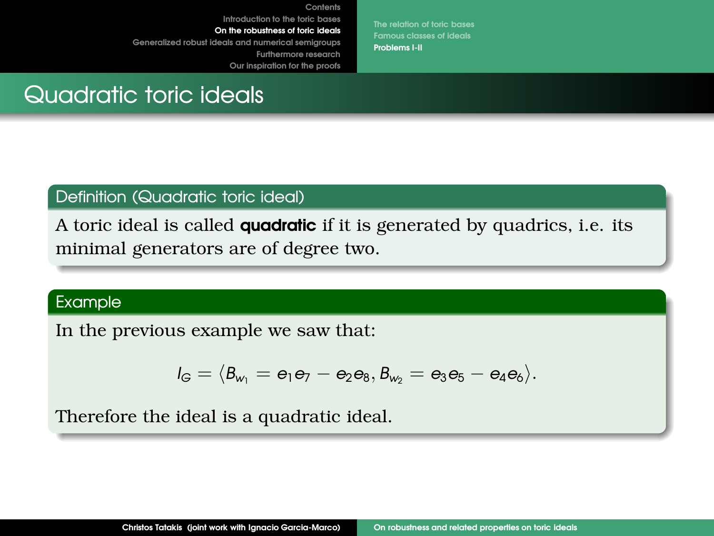**[The relation of toric bases](#page-15-0) [Famous classes of ideals](#page-16-0) [Problems I-II](#page-17-0)**

# <span id="page-17-0"></span>Quadratic toric ideals

### Definition (Quadratic toric ideal)

A toric ideal is called **quadratic** if it is generated by quadrics, i.e. its minimal generators are of degree two.

**[Contents](#page-2-0)**

### Example

In the previous example we saw that:

$$
I_G=\langle B_{w_1}=e_1e_7-e_2e_8, B_{w_2}=e_3e_5-e_4e_6\rangle.
$$

Therefore the ideal is a quadratic ideal.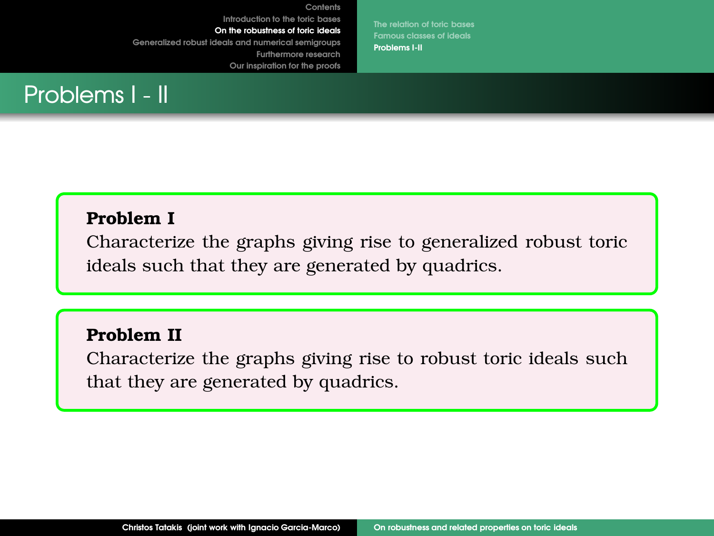**[The relation of toric bases](#page-15-0) [Famous classes of ideals](#page-16-0) [Problems I-II](#page-17-0)**



# **Problem I**

Characterize the graphs giving rise to generalized robust toric ideals such that they are generated by quadrics.

**[Contents](#page-2-0)**

### **Problem II**

Characterize the graphs giving rise to robust toric ideals such that they are generated by quadrics.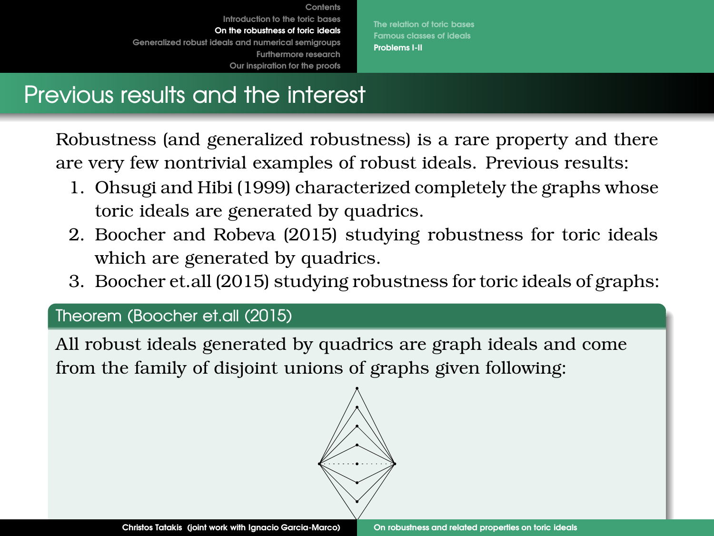**[The relation of toric bases](#page-15-0) [Famous classes of ideals](#page-16-0) [Problems I-II](#page-17-0)**

# Previous results and the interest

Robustness (and generalized robustness) is a rare property and there are very few nontrivial examples of robust ideals. Previous results:

- 1. Ohsugi and Hibi (1999) characterized completely the graphs whose toric ideals are generated by quadrics.
- 2. Boocher and Robeva (2015) studying robustness for toric ideals which are generated by quadrics.
- 3. Boocher et.all (2015) studying robustness for toric ideals of graphs:

# Theorem (Boocher et.all (2015)

All robust ideals generated by quadrics are graph ideals and come from the family of disjoint unions of graphs given following:

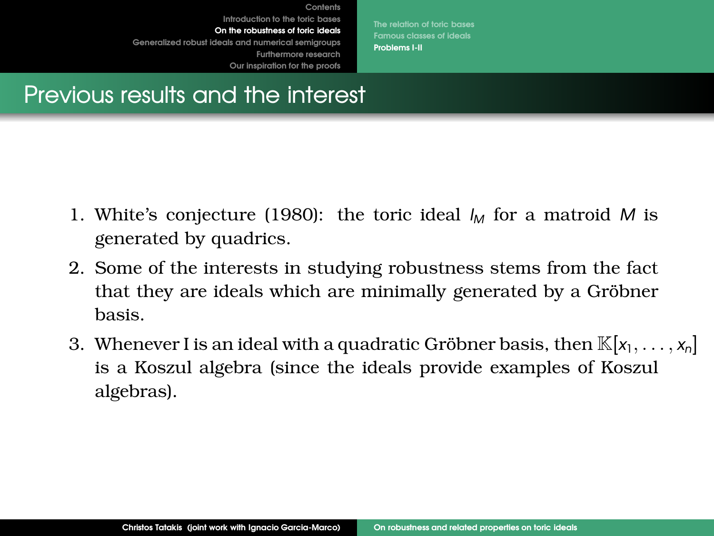**[The relation of toric bases](#page-15-0) [Famous classes of ideals](#page-16-0) [Problems I-II](#page-17-0)**

# Previous results and the interest

1. White's conjecture (1980): the toric ideal  $I_M$  for a matroid M is generated by quadrics.

**[Contents](#page-2-0)**

- 2. Some of the interests in studying robustness stems from the fact that they are ideals which are minimally generated by a Gröbner basis.
- 3. Whenever I is an ideal with a quadratic Gröbner basis, then  $\mathbb{K}[x_1, \ldots, x_n]$ is a Koszul algebra (since the ideals provide examples of Koszul algebras).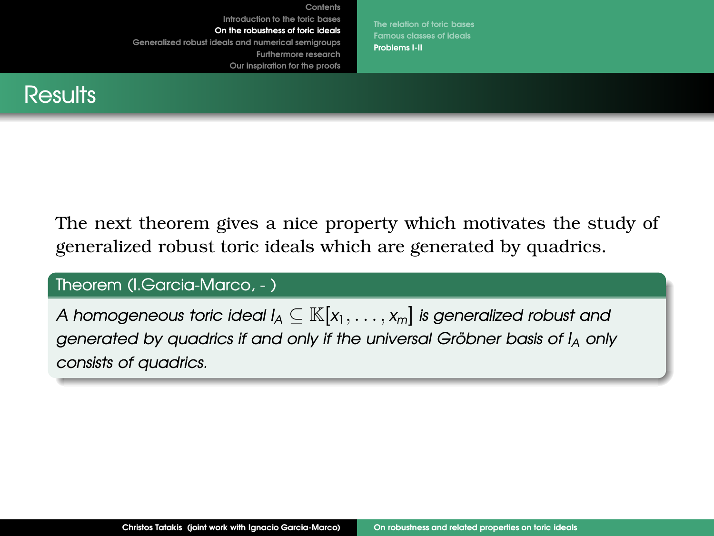**[The relation of toric bases](#page-15-0) [Famous classes of ideals](#page-16-0) [Problems I-II](#page-17-0)**



The next theorem gives a nice property which motivates the study of generalized robust toric ideals which are generated by quadrics.

**[Contents](#page-2-0)**

### Theorem (I.Garcia-Marco, - )

*A homogeneous toric ideal*  $I_A \subseteq \mathbb{K}[x_1,\ldots,x_m]$  *is generalized robust and generated by quadrics if and only if the universal Gröbner basis of*  $I_A$  *only consists of quadrics.*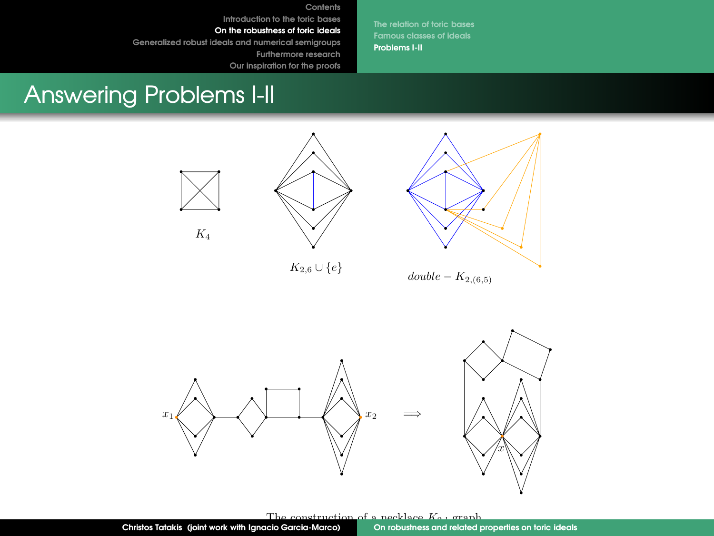**[Contents](#page-2-0) [Introduction to the toric bases](#page-3-0)**

**[On the robustness of toric ideals](#page-15-0)**

**[Generalized robust ideals and numerical semigroups](#page-28-0)**

**[Furthermore research](#page-35-0)**

**Our inspiration for the proofs**

**[Famous classes of ideals](#page-16-0) [Problems I-II](#page-17-0)**

# Answering Problems I-II



 $K_4$ 



 $K_{2,6} \cup \{e\}$ 



 $double - K_{2,(6,5)}$ 



The construction of a necklace K<sub>0</sub>, graph<br>acio Garcia-Marco) On robushess and related properties on toric ideals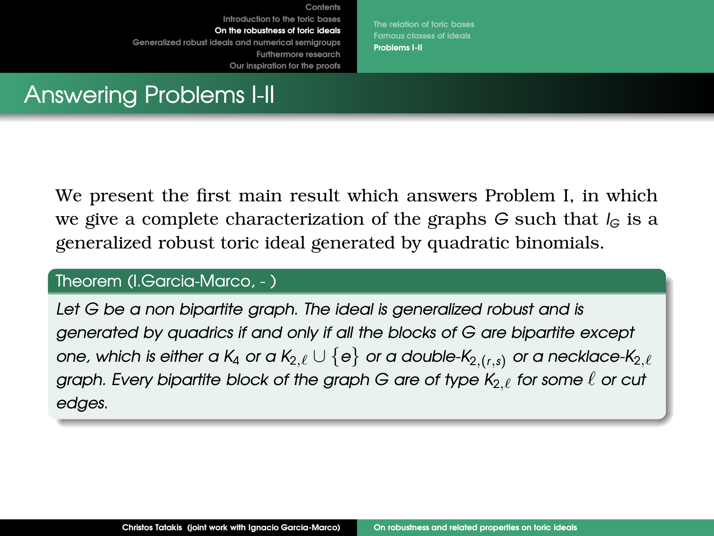**[The relation of toric bases](#page-15-0) [Famous classes of ideals](#page-16-0) [Problems I-II](#page-17-0)**

# Answering Problems I-II

We present the first main result which answers Problem I, in which we give a complete characterization of the graphs *G* such that *I<sup>G</sup>* is a generalized robust toric ideal generated by quadratic binomials.

**[Contents](#page-2-0)**

### Theorem (I.Garcia-Marco, - )

*Let G be a non bipartite graph. The ideal is generalized robust and is generated by quadrics if and only if all the blocks of G are bipartite except one, which is either a K<sub>4</sub> or a K<sub>2, ℓ</sub>*  $\cup$  *{e} <i>or a double-K<sub>2,(r,s)</sub> or a necklace-K<sub>2, ℓ</sub> graph. Every bipartite block of the graph G are of type K<sub>2.ℓ</sub> for some ℓ or cut edges.*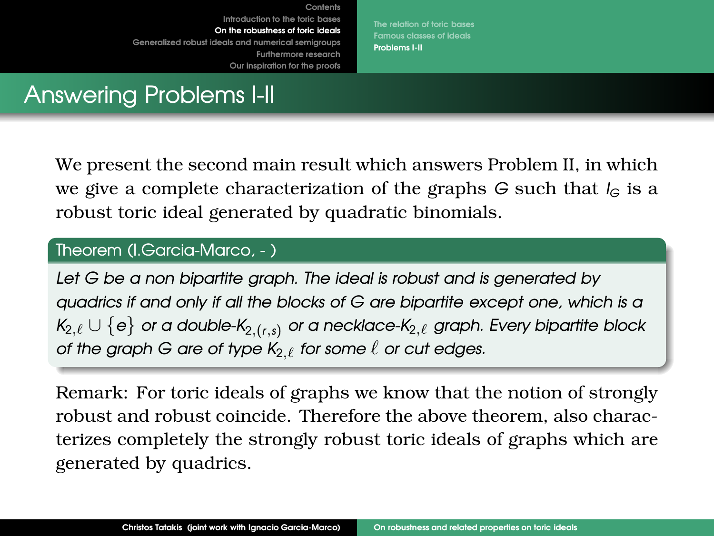**[The relation of toric bases](#page-15-0) [Famous classes of ideals](#page-16-0) [Problems I-II](#page-17-0)**

# Answering Problems I-II

We present the second main result which answers Problem II, in which we give a complete characterization of the graphs *G* such that *I<sup>G</sup>* is a robust toric ideal generated by quadratic binomials.

**[Contents](#page-2-0)**

### Theorem (I.Garcia-Marco, - )

*Let G be a non bipartite graph. The ideal is robust and is generated by quadrics if and only if all the blocks of G are bipartite except one, which is a K*2,ℓ ∪ {*e*} *or a double-K*2,(*r*,*s*) *or a necklace-K*2,ℓ *graph. Every bipartite block of the graph G are of type K<sub>2</sub> ℓ</sub> for some*  $\ell$  *or cut edges.* 

Remark: For toric ideals of graphs we know that the notion of strongly robust and robust coincide. Therefore the above theorem, also characterizes completely the strongly robust toric ideals of graphs which are generated by quadrics.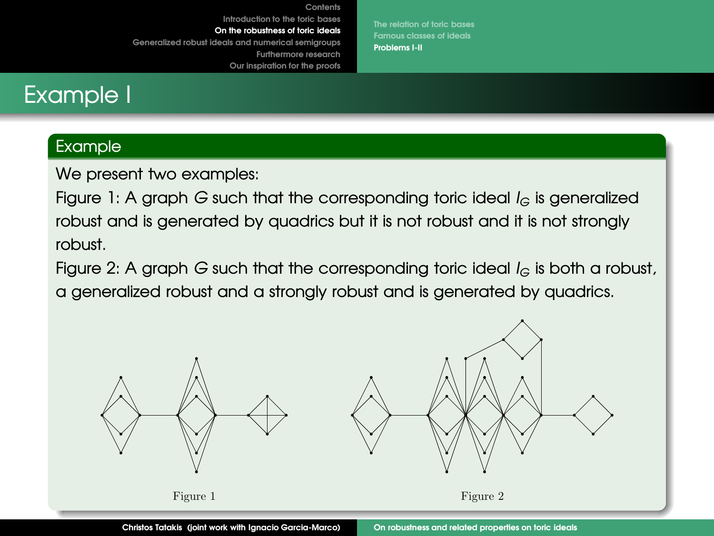**[The relation of toric bases](#page-15-0) [Famous classes of ideals](#page-16-0) [Problems I-II](#page-17-0)**

# Example I

### Example

We present two examples:

Figure 1: A graph *G* such that the corresponding toric ideal *I<sup>G</sup>* is generalized robust and is generated by quadrics but it is not robust and it is not strongly robust.

**[Contents](#page-2-0)**

Figure 2: A graph *G* such that the corresponding toric ideal *I<sup>G</sup>* is both a robust, a generalized robust and a strongly robust and is generated by quadrics.

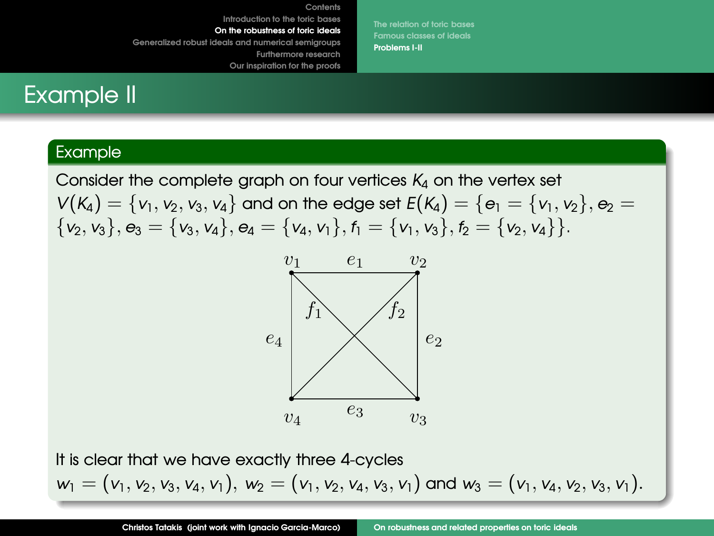**[The relation of toric bases](#page-15-0) [Famous classes of ideals](#page-16-0) [Problems I-II](#page-17-0)**

# Example II

### Example

Consider the complete graph on four vertices  $K_4$  on the vertex set  $V(K_4) = \{v_1, v_2, v_3, v_4\}$  and on the edge set  $E(K_4) = \{e_1 = \{v_1, v_2\}, e_2 = 1\}$  $\{v_2, v_3\}, e_3 = \{v_3, v_4\}, e_4 = \{v_4, v_1\}, f_1 = \{v_1, v_3\}, f_2 = \{v_2, v_4\}.$ 

**[Contents](#page-2-0)**



It is clear that we have exactly three 4-cycles  $w_1 = (v_1, v_2, v_3, v_4, v_1), w_2 = (v_1, v_2, v_4, v_3, v_1)$  and  $w_3 = (v_1, v_4, v_2, v_3, v_1).$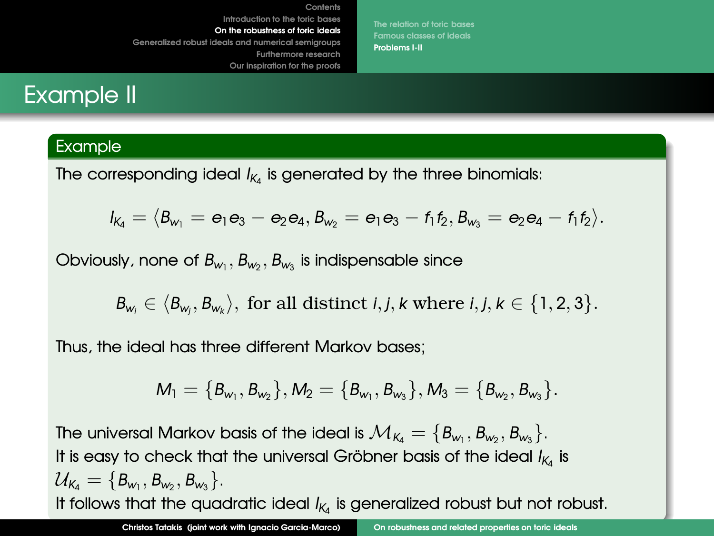**[The relation of toric bases](#page-15-0) [Famous classes of ideals](#page-16-0) [Problems I-II](#page-17-0)**

# Example II

### Example

The corresponding ideal *I<sup>K</sup>*<sup>4</sup> is generated by the three binomials:

$$
I_{K_4}=\langle B_{w_1}=e_1e_3-e_2e_4,B_{w_2}=e_1e_3-f_1f_2,B_{w_3}=e_2e_4-f_1f_2\rangle.
$$

Obviously, none of  $B_{w_1}, B_{w_2}, B_{w_3}$  is indispensable since

 $B_{w_i} \in \langle B_{w_j}, B_{w_k} \rangle$ , for all distinct *i*, *j*, *k* where *i*, *j*, *k* ∈ {1, 2, 3}.

Thus, the ideal has three different Markov bases;

$$
M_1=\{B_{w_1},B_{w_2}\}, M_2=\{B_{w_1},B_{w_3}\}, M_3=\{B_{w_2},B_{w_3}\}.
$$

The universal Markov basis of the ideal is  $\mathcal{M}_{\mathcal{K}_4} = \{\textit{B}_{\textsf{w}_1}, \textit{B}_{\textsf{w}_2}, \textit{B}_{\textsf{w}_3}\}.$ It is easy to check that the universal Gröbner basis of the ideal  $I_{K_4}$  is  $\mathcal{U}_{\mathsf{K}_4} = \{\mathsf{B}_{\mathsf{w}_1}, \mathsf{B}_{\mathsf{w}_2}, \mathsf{B}_{\mathsf{w}_3}\}.$ It follows that the quadratic ideal  $I_{K_4}$  is generalized robust but not robust.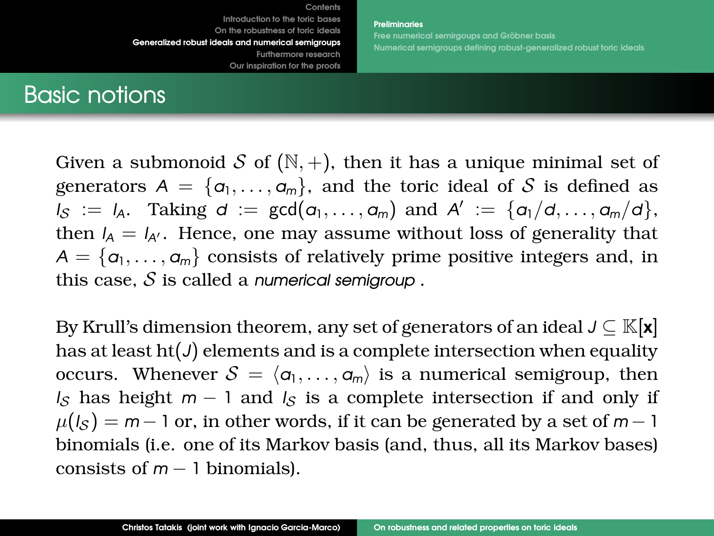**[Preliminaries](#page-28-0) Free numerical semirgoups and Gröbner basis [Numerical semigroups defining robust-generalized robust](#page-33-0) toric ideals**

# <span id="page-28-0"></span>Basic notions

Given a submonoid S of  $(N, +)$ , then it has a unique minimal set of generators  $A = \{\alpha_1, \ldots, \alpha_m\}$ , and the toric ideal of S is defined as  $I_S := I_A$ . Taking  $d := \gcd(a_1, \ldots, a_m)$  and  $A' := \{a_1/d, \ldots, a_m/d\}$ , then  $I_A = I_{A'}$ . Hence, one may assume without loss of generality that  $A = \{a_1, \ldots, a_m\}$  consists of relatively prime positive integers and, in this case, S is called a *numerical semigroup* .

By Krull's dimension theorem, any set of generators of an ideal  $J \subseteq \mathbb{K}[\mathbf{x}]$ has at least  $ht(J)$  elements and is a complete intersection when equality occurs. Whenever  $S = \langle a_1, \ldots, a_m \rangle$  is a numerical semigroup, then *I<sub>S</sub>* has height  $m - 1$  and  $I_S$  is a complete intersection if and only if  $\mu(I_S) = m - 1$  or, in other words, if it can be generated by a set of  $m - 1$ binomials (i.e. one of its Markov basis (and, thus, all its Markov bases) consists of *m* − 1 binomials).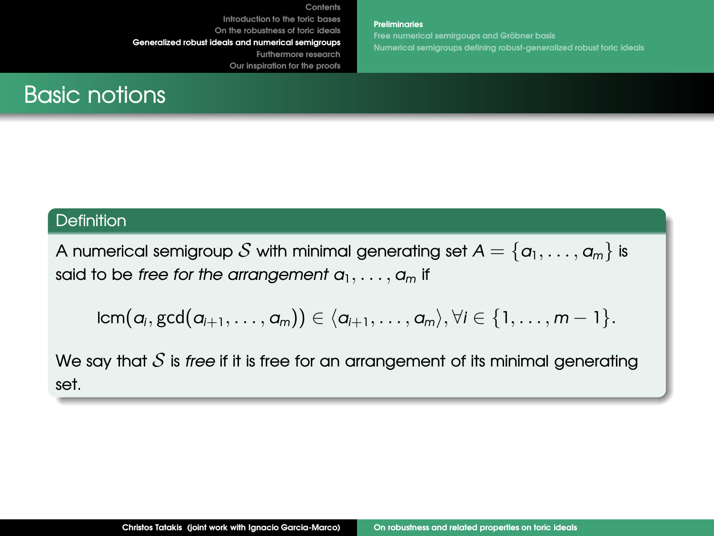**Our inspiration for the proofs**

**[Preliminaries](#page-28-0) Free numerical semirgoups and Gröbner basis [Numerical semigroups defining robust-generalized robust](#page-33-0) toric ideals**

# Basic notions

### **Definition**

A numerical semigroup S with minimal generating set  $A = \{a_1, \ldots, a_m\}$  is said to be *free for the arrangement a*1, . . . , *a<sup>m</sup>* if

$$
\text{lcm}(a_i,\text{gcd}(a_{i+1},\ldots,a_m))\in \langle a_{i+1},\ldots,a_m\rangle, \forall i\in \{1,\ldots,m-1\}.
$$

We say that  $S$  is *free* if it is free for an arrangement of its minimal generating set.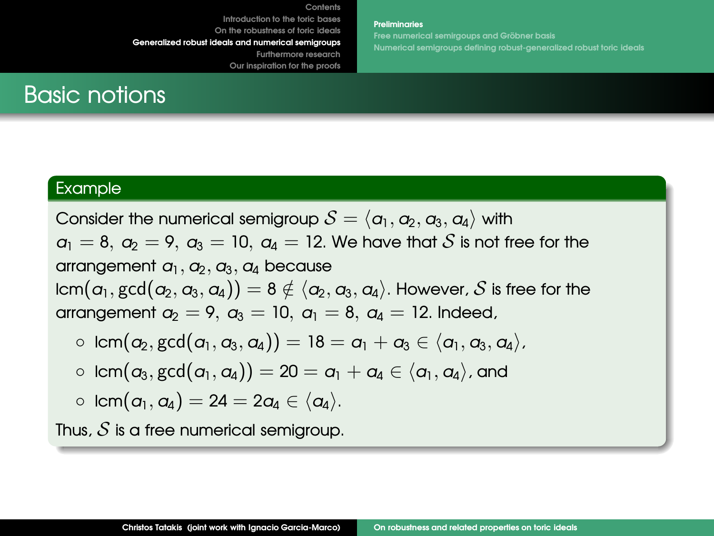**[Preliminaries](#page-28-0)**

**Free numerical semirgoups and Gröbner basis [Numerical semigroups defining robust-generalized robust](#page-33-0) toric ideals**

# Basic notions

### Example

Consider the numerical semigroup  $S = \langle a_1, a_2, a_3, a_4 \rangle$  with  $a_1 = 8$ ,  $a_2 = 9$ ,  $a_3 = 10$ ,  $a_4 = 12$ . We have that S is not free for the arrangement  $a_1$ ,  $a_2$ ,  $a_3$ ,  $a_4$  because  $lcm(\alpha_1, \gcd(\alpha_2, \alpha_3, \alpha_4)) = 8 \notin \langle \alpha_2, \alpha_3, \alpha_4 \rangle$ . However, S is free for the arrangement  $a_2 = 9$ ,  $a_3 = 10$ ,  $a_1 = 8$ ,  $a_4 = 12$ . Indeed,

- lcm( $a_2$ , gcd( $a_1$ ,  $a_3$ ,  $a_4$ )) = 18 =  $a_1 + a_3 \in \langle a_1, a_3, a_4 \rangle$ ,
- $\circ$  lcm( $a_3$ , gcd( $a_1$ ,  $a_4$ )) = 20 =  $a_1 + a_4 \in \langle a_1, a_4 \rangle$ , and

$$
\circ \;\operatorname{\mathsf{lcm}}(a_{\text{l}},a_{\text{4}})=24=2a_{\text{4}}\in \langle a_{\text{4}}\rangle.
$$

Thus,  $S$  is a free numerical semigroup.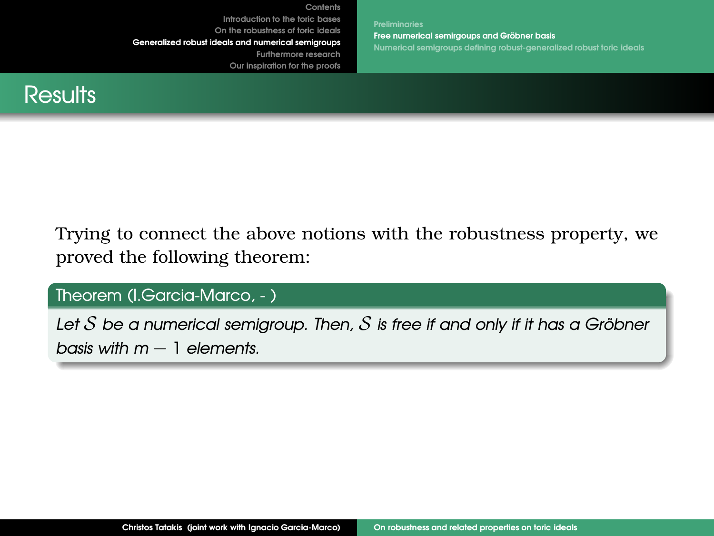**[Preliminaries](#page-28-0) Free numerical semirgoups and Gröbner basis [Numerical semigroups defining robust-generalized robust](#page-33-0) toric ideals**

<span id="page-31-0"></span>

Trying to connect the above notions with the robustness property, we proved the following theorem:

Theorem (I.Garcia-Marco, - )

Let  $S$  be a numerical semigroup. Then,  $S$  is free if and only if it has a Gröbner *basis with m* − 1 *elements.*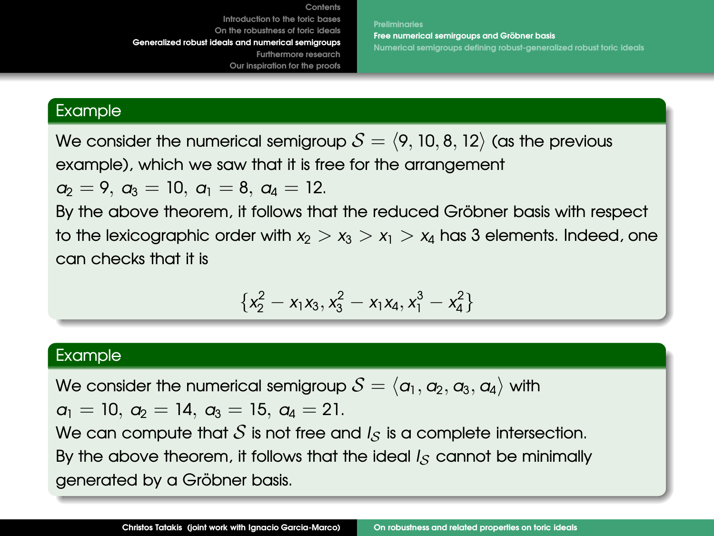**[Preliminaries](#page-28-0) Free numerical semiraoups and Gröbner basis [Numerical semigroups defining robust-generalized robust](#page-33-0) toric ideals**

### Example

We consider the numerical semigroup  $S = \langle 9, 10, 8, 12 \rangle$  (as the previous example), which we saw that it is free for the arrangement

 $a_2 = 9$ ,  $a_3 = 10$ ,  $a_1 = 8$ ,  $a_4 = 12$ .

By the above theorem, it follows that the reduced Gröbner basis with respect to the lexicographic order with  $x_2 > x_3 > x_1 > x_4$  has 3 elements. Indeed, one can checks that it is

$$
\{x_2^2-x_1x_3, x_3^2-x_1x_4, x_1^3-x_4^2\}
$$

### Example

We consider the numerical semigroup  $S = \langle a_1, a_2, a_3, a_4 \rangle$  with

 $a_1 = 10$ ,  $a_2 = 14$ ,  $a_3 = 15$ ,  $a_4 = 21$ .

We can compute that  $S$  is not free and  $I_S$  is a complete intersection. By the above theorem, it follows that the ideal *I<sub>S</sub>* cannot be minimally generated by a Gröbner basis.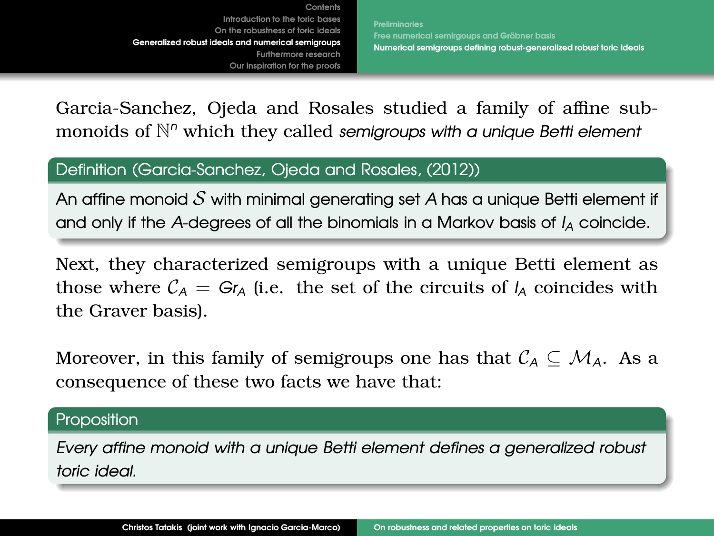**[Preliminaries](#page-28-0) Free numerical semirgoups and Gröbner basis [Numerical semigroups defining robust-generalized robust](#page-33-0) toric ideals**

<span id="page-33-0"></span>Garcia-Sanchez, Ojeda and Rosales studied a family of affine submonoids of N *<sup>n</sup>* which they called *semigroups with a unique Betti element*

### Definition (Garcia-Sanchez, Ojeda and Rosales, (2012))

An affine monoid S with minimal generating set *A* has a unique Betti element if and only if the *A*-degrees of all the binomials in a Markov basis of *I<sup>A</sup>* coincide.

Next, they characterized semigroups with a unique Betti element as those where  $C_A = Gr_A$  (i.e. the set of the circuits of  $I_A$  coincides with the Graver basis).

Moreover, in this family of semigroups one has that  $\mathcal{C}_A \subseteq \mathcal{M}_A$ . As a consequence of these two facts we have that:

### Proposition

*Every affine monoid with a unique Betti element defines a generalized robust toric ideal.*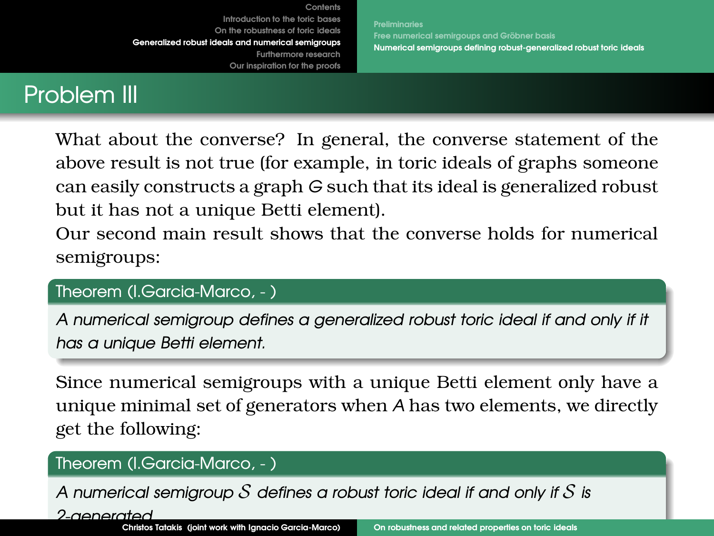**[Preliminaries](#page-28-0) Free numerical semirgoups and Gröbner basis [Numerical semigroups defining robust-generalized robust](#page-33-0) toric ideals**

# Problem III

What about the converse? In general, the converse statement of the above result is not true (for example, in toric ideals of graphs someone can easily constructs a graph *G* such that its ideal is generalized robust but it has not a unique Betti element).

Our second main result shows that the converse holds for numerical semigroups:

# Theorem (I.Garcia-Marco, - )

*A numerical semigroup defines a generalized robust toric ideal if and only if it has a unique Betti element.*

Since numerical semigroups with a unique Betti element only have a unique minimal set of generators when *A* has two elements, we directly get the following:

# Theorem (I.Garcia-Marco, - )

*A numerical semigroup* S *defines a robust toric ideal if and only if* S *is*

*2-generated.*

**Christos Tatakis (joint work with Ignacio Garcia-Marco)** [On robustness and related properties on toric ideals](#page-0-0)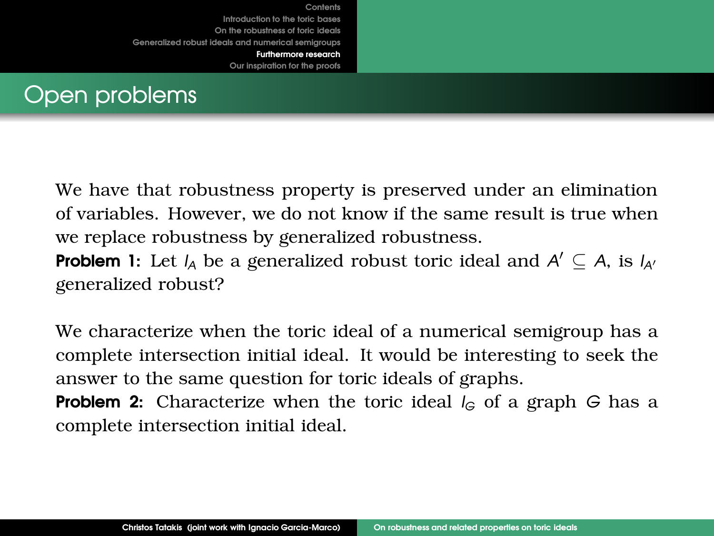<span id="page-35-0"></span>

We have that robustness property is preserved under an elimination of variables. However, we do not know if the same result is true when we replace robustness by generalized robustness.

**Problem 1:** Let  $I_A$  be a generalized robust toric ideal and  $A' \subseteq A$ , is  $I_{A'}$ generalized robust?

We characterize when the toric ideal of a numerical semigroup has a complete intersection initial ideal. It would be interesting to seek the answer to the same question for toric ideals of graphs.

**Problem 2:** Characterize when the toric ideal  $I_G$  of a graph *G* has a complete intersection initial ideal.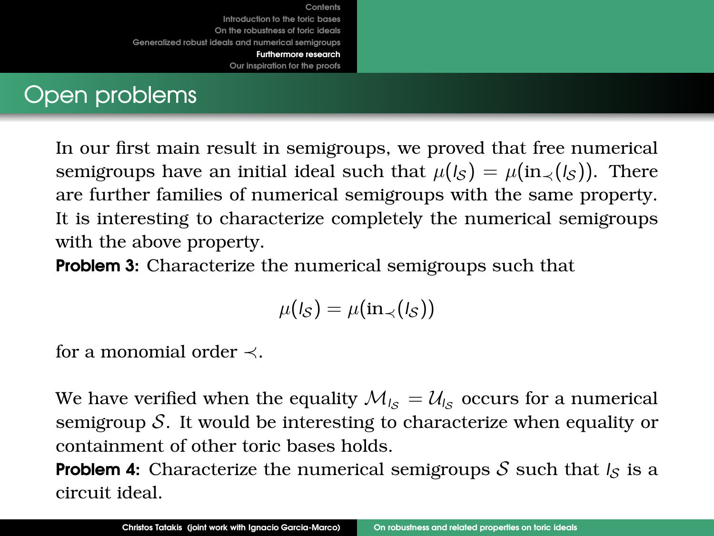# Open problems

In our first main result in semigroups, we proved that free numerical semigroups have an initial ideal such that  $\mu(I_S) = \mu(\text{in}_{\prec}(I_S))$ . There are further families of numerical semigroups with the same property. It is interesting to characterize completely the numerical semigroups with the above property.

**Problem 3:** Characterize the numerical semigroups such that

$$
\mu(I_{\mathcal{S}})=\mu(\mathrm{in}_{\prec}(I_{\mathcal{S}}))
$$

for a monomial order ≺.

We have verified when the equality  $\mathcal{M}_{I_{\rm S}} = \mathcal{U}_{I_{\rm S}}$  occurs for a numerical semigroup S. It would be interesting to characterize when equality or containment of other toric bases holds.

**Problem 4:** Characterize the numerical semigroups S such that  $I_S$  is a circuit ideal.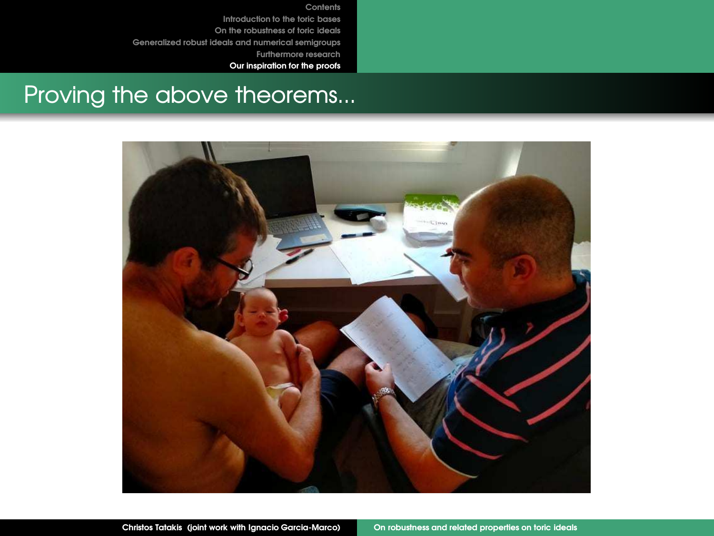**Our inspiration for the proofs**

# Proving the above theorems...